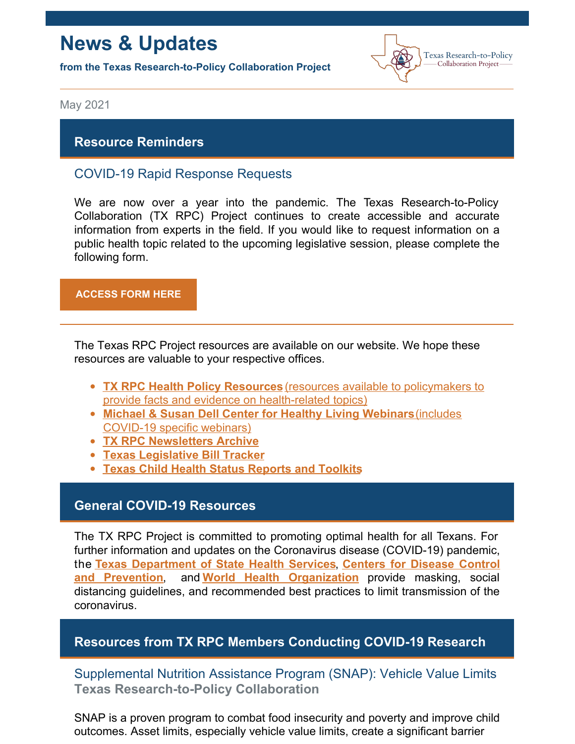# **News & Updates**

**from the Texas Research-to-Policy Collaboration Project**



May 2021

# **Resource Reminders**

# COVID-19 Rapid Response Requests

We are now over a year into the pandemic. The Texas Research-to-Policy Collaboration (TX RPC) Project continues to create accessible and accurate information from experts in the field. If you would like to request information on a public health topic related to the upcoming legislative session, please complete the following form.

#### **[ACCESS](https://docs.google.com/forms/u/2/d/1Wugxw_5Z2snWP5rEmX4N88dLKRnqrsAPYug_bCWMdCo/viewform?edit_requested=true) FORM HERE**

The Texas RPC Project resources are available on our website. We hope these resources are valuable to your respective offices.

- **TX RPC Health Policy [Resources](https://sph.uth.edu/research/centers/dell/legislative-initiatives/texas-rpc-resources)** (resources available to policymakers to provide facts and evidence on [health-related](https://sph.uth.edu/research/centers/dell/legislative-initiatives/texas-rpc-resources) topics)
- **Michael & Susan Dell Center for Healthy Living [Webinars](https://sph.uth.edu/research/centers/dell/webinars/)**(includes [COVID-19](https://sph.uth.edu/research/centers/dell/webinars/) specific webinars)
- **TX RPC [Newsletters](https://sph.uth.edu/research/centers/dell/legislative-initiatives/rpc-newsletters) Archive**
- **Texas [Legislative](https://sph.uth.edu/research/centers/dell/87th-texas-legislative-session/index.htm) Bill Tracker**
- **Texas Child Health Status [Reports](https://sph.uth.edu/research/centers/dell/texas-child-health-status-report/index.htm) and Toolkits**

## **General COVID-19 Resources**

The TX RPC Project is committed to promoting optimal health for all Texans. For further information and updates on the Coronavirus disease (COVID-19) pandemic, the **Texas [Department](https://dshs.texas.gov/coronavirus/) of State Health Services**, **Centers for Disease Control and Prevention**, and **World Health [Organization](https://www.cdc.gov/coronavirus/2019-ncov/index.html)** provide masking, social distancing guidelines, and recommended best practices to limit transmission of the coronavirus.

## **Resources from TX RPC Members Conducting COVID-19 Research**

Supplemental Nutrition Assistance Program (SNAP): Vehicle Value Limits **Texas Research-to-Policy Collaboration**

SNAP is a proven program to combat food insecurity and poverty and improve child outcomes. Asset limits, especially vehicle value limits, create a significant barrier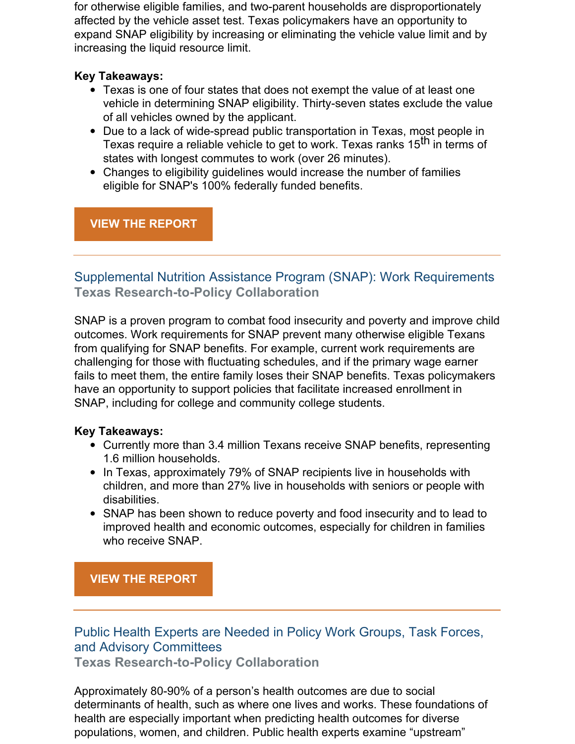for otherwise eligible families, and two-parent households are disproportionately affected by the vehicle asset test. Texas policymakers have an opportunity to expand SNAP eligibility by increasing or eliminating the vehicle value limit and by increasing the liquid resource limit.

## **Key Takeaways:**

- Texas is one of four states that does not exempt the value of at least one vehicle in determining SNAP eligibility. Thirty-seven states exclude the value of all vehicles owned by the applicant.
- Due to a lack of wide-spread public transportation in Texas, most people in Texas require a reliable vehicle to get to work. Texas ranks 15<sup>th</sup> in terms of states with longest commutes to work (over 26 minutes).
- Changes to eligibility guidelines would increase the number of families eligible for SNAP's 100% federally funded benefits.

# **VIEW THE [REPORT](https://sph.uth.edu/research/centers/dell/legislative-initiatives/SNAP+Vehicle+Value+Limits.pdf?language_id=1)**

# Supplemental Nutrition Assistance Program (SNAP): Work Requirements **Texas Research-to-Policy Collaboration**

SNAP is a proven program to combat food insecurity and poverty and improve child outcomes. Work requirements for SNAP prevent many otherwise eligible Texans from qualifying for SNAP benefits. For example, current work requirements are challenging for those with fluctuating schedules, and if the primary wage earner fails to meet them, the entire family loses their SNAP benefits. Texas policymakers have an opportunity to support policies that facilitate increased enrollment in SNAP, including for college and community college students.

## **Key Takeaways:**

- Currently more than 3.4 million Texans receive SNAP benefits, representing 1.6 million households.
- In Texas, approximately 79% of SNAP recipients live in households with children, and more than 27% live in households with seniors or people with disabilities.
- SNAP has been shown to reduce poverty and food insecurity and to lead to improved health and economic outcomes, especially for children in families who receive SNAP.

## **VIEW THE [REPORT](https://sph.uth.edu/research/centers/dell/legislative-initiatives/SNAP+Work+Requirements.pdf?language_id=1)**

# Public Health Experts are Needed in Policy Work Groups, Task Forces, and Advisory Committees

**Texas Research-to-Policy Collaboration**

Approximately 80-90% of a person's health outcomes are due to social determinants of health, such as where one lives and works. These foundations of health are especially important when predicting health outcomes for diverse populations, women, and children. Public health experts examine "upstream"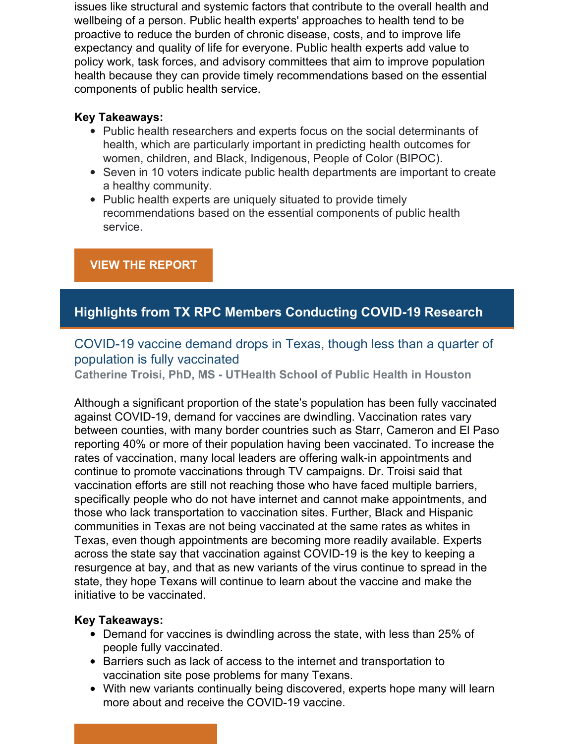issues like structural and systemic factors that contribute to the overall health and wellbeing of a person. Public health experts' approaches to health tend to be proactive to reduce the burden of chronic disease, costs, and to improve life expectancy and quality of life for everyone. Public health experts add value to policy work, task forces, and advisory committees that aim to improve population health because they can provide timely recommendations based on the essential components of public health service.

### **Key Takeaways:**

- Public health researchers and experts focus on the social determinants of health, which are particularly important in predicting health outcomes for women, children, and Black, Indigenous, People of Color (BIPOC).
- Seven in 10 voters indicate public health departments are important to create a healthy community.
- Public health experts are uniquely situated to provide timely recommendations based on the essential components of public health service.

## **VIEW THE [REPORT](https://sph.uth.edu/research/centers/dell/legislative-initiatives/Public+Health+Experts+Infographic.pdf?language_id=1)**

# **Highlights from TX RPC Members Conducting COVID-19 Research**

# COVID-19 vaccine demand drops in Texas, though less than a quarter of population is fully vaccinated

**Catherine Troisi, PhD, MS - UTHealth School of Public Health in Houston**

Although a significant proportion of the state's population has been fully vaccinated against COVID-19, demand for vaccines are dwindling. Vaccination rates vary between counties, with many border countries such as Starr, Cameron and El Paso reporting 40% or more of their population having been vaccinated. To increase the rates of vaccination, many local leaders are offering walk-in appointments and continue to promote vaccinations through TV campaigns. Dr. Troisi said that vaccination efforts are still not reaching those who have faced multiple barriers, specifically people who do not have internet and cannot make appointments, and those who lack transportation to vaccination sites. Further, Black and Hispanic communities in Texas are not being vaccinated at the same rates as whites in Texas, even though appointments are becoming more readily available. Experts across the state say that vaccination against COVID-19 is the key to keeping a resurgence at bay, and that as new variants of the virus continue to spread in the state, they hope Texans will continue to learn about the vaccine and make the initiative to be vaccinated.

## **Key Takeaways:**

- Demand for vaccines is dwindling across the state, with less than 25% of people fully vaccinated.
- Barriers such as lack of access to the internet and transportation to vaccination site pose problems for many Texans.
- With new variants continually being discovered, experts hope many will learn more about and receive the COVID-19 vaccine.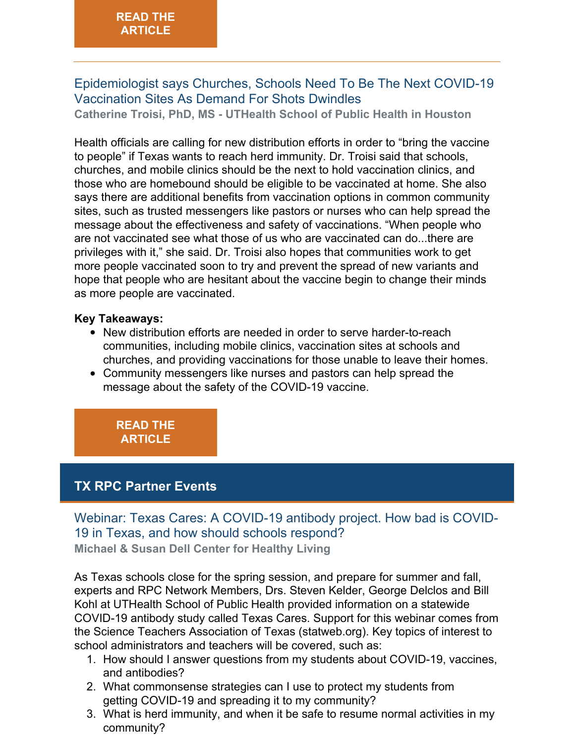# Epidemiologist says Churches, Schools Need To Be The Next COVID-19 Vaccination Sites As Demand For Shots Dwindles

**Catherine Troisi, PhD, MS - UTHealth School of Public Health in Houston**

Health officials are calling for new distribution efforts in order to "bring the vaccine to people" if Texas wants to reach herd immunity. Dr. Troisi said that schools, churches, and mobile clinics should be the next to hold vaccination clinics, and those who are homebound should be eligible to be vaccinated at home. She also says there are additional benefits from vaccination options in common community sites, such as trusted messengers like pastors or nurses who can help spread the message about the effectiveness and safety of vaccinations. "When people who are not vaccinated see what those of us who are vaccinated can do...there are privileges with it," she said. Dr. Troisi also hopes that communities work to get more people vaccinated soon to try and prevent the spread of new variants and hope that people who are hesitant about the vaccine begin to change their minds as more people are vaccinated.

#### **Key Takeaways:**

- New distribution efforts are needed in order to serve harder-to-reach communities, including mobile clinics, vaccination sites at schools and churches, and providing vaccinations for those unable to leave their homes.
- Community messengers like nurses and pastors can help spread the message about the safety of the COVID-19 vaccine.

## **READ THE [ARTICLE](https://www.texasstandard.org/stories/epidemiologist-says-churches-schools-need-to-be-the-next-covid-19-vaccination-sites-as-demand-for-shots-dwindles/)**

# **TX RPC Partner Events**

Webinar: Texas Cares: A COVID-19 antibody project. How bad is COVID-19 in Texas, and how should schools respond? **Michael & Susan Dell Center for Healthy Living**

As Texas schools close for the spring session, and prepare for summer and fall, experts and RPC Network Members, Drs. Steven Kelder, George Delclos and Bill Kohl at UTHealth School of Public Health provided information on a statewide COVID-19 antibody study called Texas Cares. Support for this webinar comes from the Science Teachers Association of Texas (statweb.org). Key topics of interest to school administrators and teachers will be covered, such as:

- 1. How should I answer questions from my students about COVID-19, vaccines, and antibodies?
- 2. What commonsense strategies can I use to protect my students from getting COVID-19 and spreading it to my community?
- 3. What is herd immunity, and when it be safe to resume normal activities in my community?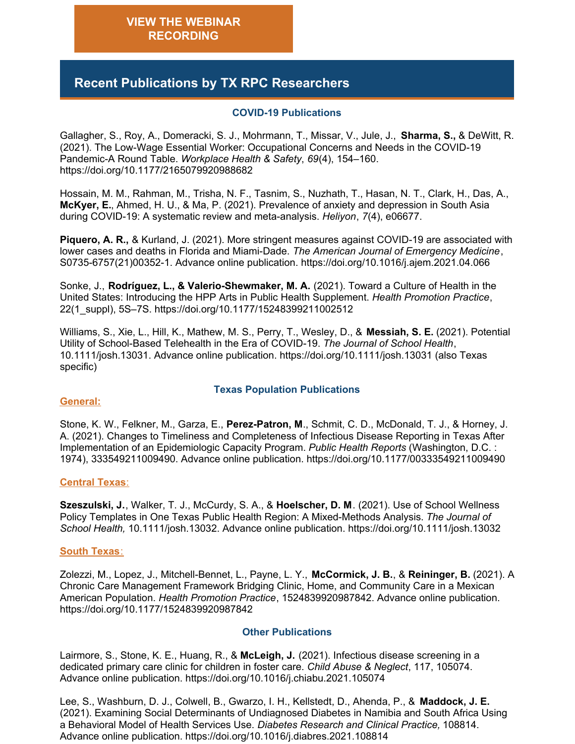# **Recent Publications by TX RPC Researchers**

#### **COVID-19 Publications**

Gallagher, S., Roy, A., Domeracki, S. J., Mohrmann, T., Missar, V., Jule, J., **Sharma, S.,** & DeWitt, R. (2021). The Low-Wage Essential Worker: Occupational Concerns and Needs in the COVID-19 Pandemic-A Round Table. *Workplace Health & Safety*, *69*(4), 154–160. https://doi.org/10.1177/2165079920988682

Hossain, M. M., Rahman, M., Trisha, N. F., Tasnim, S., Nuzhath, T., Hasan, N. T., Clark, H., Das, A., **McKyer, E.**, Ahmed, H. U., & Ma, P. (2021). Prevalence of anxiety and depression in South Asia during COVID-19: A systematic review and meta-analysis. *Heliyon*, *7*(4), e06677.

**Piquero, A. R.,** & Kurland, J. (2021). More stringent measures against COVID-19 are associated with lower cases and deaths in Florida and Miami-Dade. *The American Journal of Emergency Medicine*, S0735-6757(21)00352-1. Advance online publication. https://doi.org/10.1016/j.ajem.2021.04.066

Sonke, J., **Rodríguez, L., & Valerio-Shewmaker, M. A.** (2021). Toward a Culture of Health in the United States: Introducing the HPP Arts in Public Health Supplement. *Health Promotion Practice*, 22(1\_suppl), 5S–7S. https://doi.org/10.1177/15248399211002512

Williams, S., Xie, L., Hill, K., Mathew, M. S., Perry, T., Wesley, D., & **Messiah, S. E.** (2021). Potential Utility of School-Based Telehealth in the Era of COVID-19. *The Journal of School Health*, 10.1111/josh.13031. Advance online publication. https://doi.org/10.1111/josh.13031 (also Texas specific)

#### **Texas Population Publications**

#### **General:**

Stone, K. W., Felkner, M., Garza, E., **Perez-Patron, M**., Schmit, C. D., McDonald, T. J., & Horney, J. A. (2021). Changes to Timeliness and Completeness of Infectious Disease Reporting in Texas After Implementation of an Epidemiologic Capacity Program. *Public Health Reports* (Washington, D.C. : 1974), 333549211009490. Advance online publication. https://doi.org/10.1177/00333549211009490

#### **Central Texas**:

**Szeszulski, J.**, Walker, T. J., McCurdy, S. A., & **Hoelscher, D. M**. (2021). Use of School Wellness Policy Templates in One Texas Public Health Region: A Mixed-Methods Analysis. *The Journal of School Health,* 10.1111/josh.13032. Advance online publication. https://doi.org/10.1111/josh.13032

#### **South Texas**:

Zolezzi, M., Lopez, J., Mitchell-Bennet, L., Payne, L. Y., **McCormick, J. B.**, & **Reininger, B.** (2021). A Chronic Care Management Framework Bridging Clinic, Home, and Community Care in a Mexican American Population. *Health Promotion Practice*, 1524839920987842. Advance online publication. https://doi.org/10.1177/1524839920987842

#### **Other Publications**

Lairmore, S., Stone, K. E., Huang, R., & **McLeigh, J.** (2021). Infectious disease screening in a dedicated primary care clinic for children in foster care. *Child Abuse & Neglect*, 117, 105074. Advance online publication. https://doi.org/10.1016/j.chiabu.2021.105074

Lee, S., Washburn, D. J., Colwell, B., Gwarzo, I. H., Kellstedt, D., Ahenda, P., & **Maddock, J. E.** (2021). Examining Social Determinants of Undiagnosed Diabetes in Namibia and South Africa Using a Behavioral Model of Health Services Use. *Diabetes Research and Clinical Practice,* 108814. Advance online publication. <https://doi.org/10.1016/j.diabres.2021.108814>